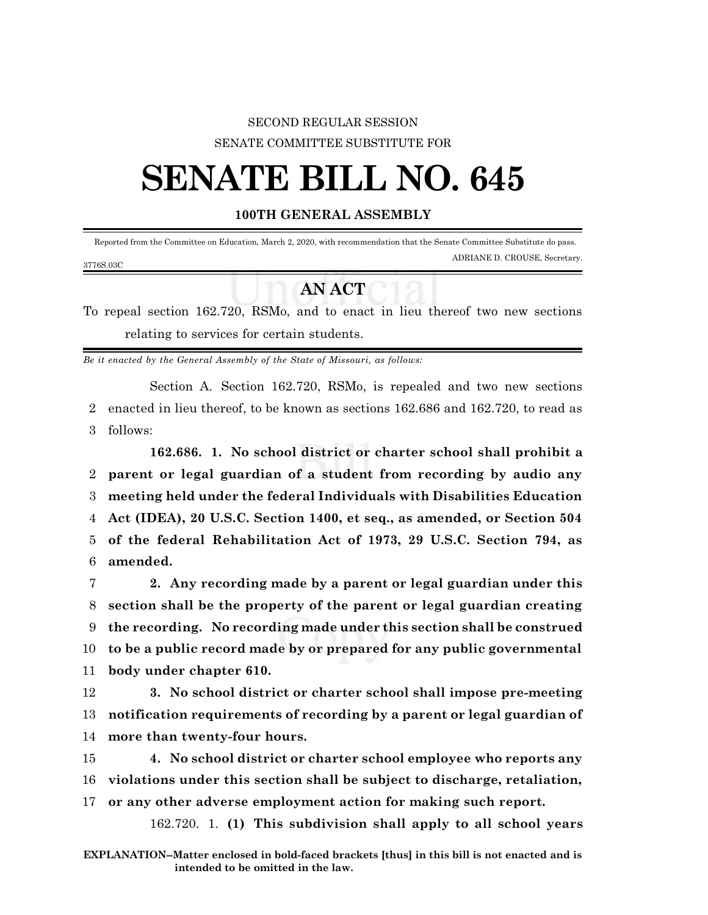## SECOND REGULAR SESSION SENATE COMMITTEE SUBSTITUTE FOR

## **SENATE BILL NO. 645**

## **100TH GENERAL ASSEMBLY**

 Reported from the Committee on Education, March 2, 2020, with recommendation that the Senate Committee Substitute do pass. ADRIANE D. CROUSE, Secretary. 3776S.03C

## **AN ACT**

To repeal section 162.720, RSMo, and to enact in lieu thereof two new sections relating to services for certain students.

*Be it enacted by the General Assembly of the State of Missouri, as follows:*

Section A. Section 162.720, RSMo, is repealed and two new sections 2 enacted in lieu thereof, to be known as sections 162.686 and 162.720, to read as 3 follows:

**162.686. 1. No school district or charter school shall prohibit a parent or legal guardian of a student from recording by audio any meeting held under the federal Individuals with Disabilities Education Act (IDEA), 20 U.S.C. Section 1400, et seq., as amended, or Section 504 of the federal Rehabilitation Act of 1973, 29 U.S.C. Section 794, as** 6 **amended.**

 **2. Any recording made by a parent or legal guardian under this section shall be the property of the parent or legal guardian creating the recording. No recording made under this section shall be construed to be a public record made by or prepared for any public governmental body under chapter 610.**

12 **3. No school district or charter school shall impose pre-meeting** 13 **notification requirements of recording by a parent or legal guardian of** 14 **more than twenty-four hours.**

15 **4. No school district or charter school employee who reports any** 16 **violations under this section shall be subject to discharge, retaliation,** 17 **or any other adverse employment action for making such report.**

162.720. 1. **(1) This subdivision shall apply to all school years**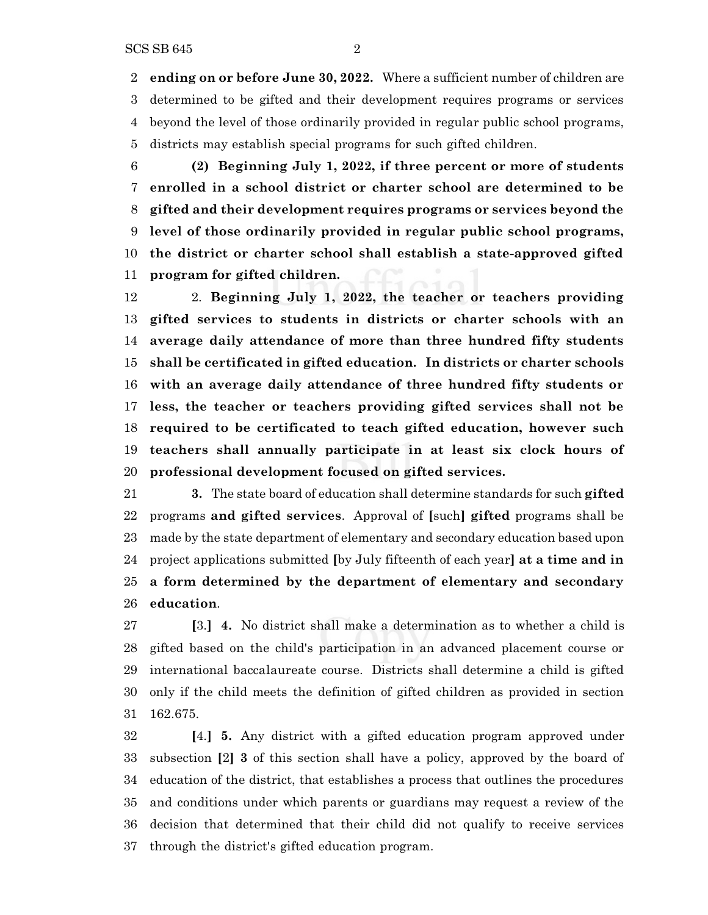**ending on or before June 30, 2022.** Where a sufficient number of children are determined to be gifted and their development requires programs or services beyond the level of those ordinarily provided in regular public school programs, districts may establish special programs for such gifted children.

 **(2) Beginning July 1, 2022, if three percent or more of students enrolled in a school district or charter school are determined to be gifted and their development requires programs or services beyond the level of those ordinarily provided in regular public school programs, the district or charter school shall establish a state-approved gifted program for gifted children.**

 2. **Beginning July 1, 2022, the teacher or teachers providing gifted services to students in districts or charter schools with an average daily attendance of more than three hundred fifty students shall be certificated in gifted education. In districts or charter schools with an average daily attendance of three hundred fifty students or less, the teacher or teachers providing gifted services shall not be required to be certificated to teach gifted education, however such teachers shall annually participate in at least six clock hours of professional development focused on gifted services.**

 **3.** The state board of education shall determine standards for such **gifted** programs **and gifted services**. Approval of **[**such**] gifted** programs shall be made by the state department of elementary and secondary education based upon project applications submitted **[**by July fifteenth of each year**] at a time and in a form determined by the department of elementary and secondary education**.

 **[**3.**] 4.** No district shall make a determination as to whether a child is gifted based on the child's participation in an advanced placement course or international baccalaureate course. Districts shall determine a child is gifted only if the child meets the definition of gifted children as provided in section 162.675.

 **[**4.**] 5.** Any district with a gifted education program approved under subsection **[**2**] 3** of this section shall have a policy, approved by the board of education of the district, that establishes a process that outlines the procedures and conditions under which parents or guardians may request a review of the decision that determined that their child did not qualify to receive services through the district's gifted education program.